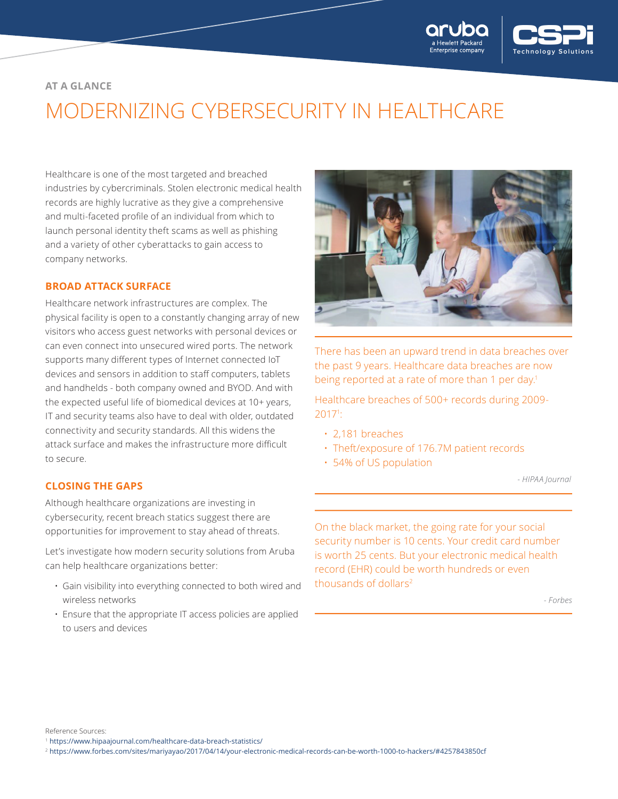

# **AT A GLANCE**

# MODERNIZING CYBERSECURITY IN HEALTHCARE

Healthcare is one of the most targeted and breached industries by cybercriminals. Stolen electronic medical health records are highly lucrative as they give a comprehensive and multi-faceted profile of an individual from which to launch personal identity theft scams as well as phishing and a variety of other cyberattacks to gain access to company networks.

#### **BROAD ATTACK SURFACE**

Healthcare network infrastructures are complex. The physical facility is open to a constantly changing array of new visitors who access guest networks with personal devices or can even connect into unsecured wired ports. The network supports many different types of Internet connected IoT devices and sensors in addition to staff computers, tablets and handhelds - both company owned and BYOD. And with the expected useful life of biomedical devices at 10+ years, IT and security teams also have to deal with older, outdated connectivity and security standards. All this widens the attack surface and makes the infrastructure more difficult to secure.

#### **CLOSING THE GAPS**

Although healthcare organizations are investing in cybersecurity, recent breach statics suggest there are opportunities for improvement to stay ahead of threats.

Let's investigate how modern security solutions from Aruba can help healthcare organizations better:

- Gain visibility into everything connected to both wired and wireless networks
- Ensure that the appropriate IT access policies are applied to users and devices



There has been an upward trend in data breaches over the past 9 years. Healthcare data breaches are now being reported at a rate of more than 1 per day.<sup>1</sup>

Healthcare breaches of 500+ records during 2009- 20171 :

- 2,181 breaches
- Theft/exposure of 176.7M patient records
- 54% of US population

*- HIPAA Journal*

On the black market, the going rate for your social security number is 10 cents. Your credit card number is worth 25 cents. But your electronic medical health record (EHR) could be worth hundreds or even thousands of dollars<sup>2</sup>

*- Forbes*

Reference Sources:

<sup>2</sup> <https://www.forbes.com/sites/mariyayao/2017/04/14/your-electronic-medical-records-can-be-worth-1000-to-hackers/#4257843850cf>

<sup>1</sup> <https://www.hipaajournal.com/healthcare-data-breach-statistics/>